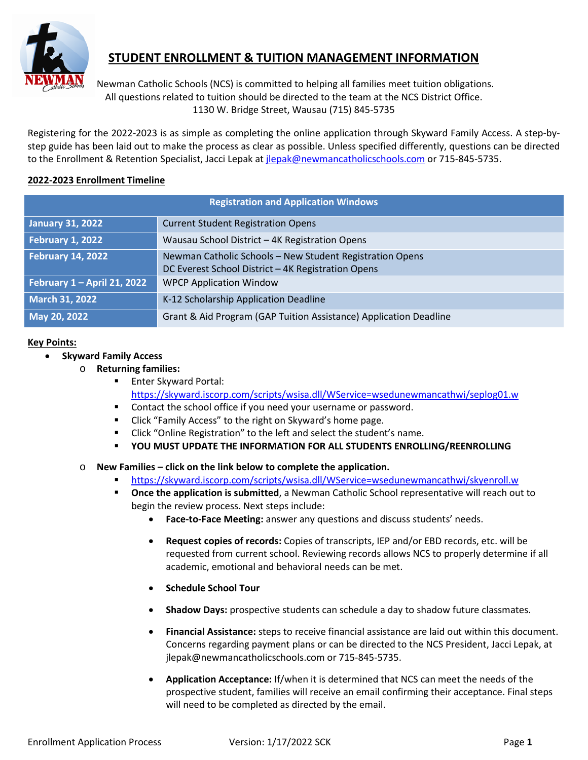

## **STUDENT ENROLLMENT & TUITION MANAGEMENT INFORMATION**

Newman Catholic Schools (NCS) is committed to helping all families meet tuition obligations. All questions related to tuition should be directed to the team at the NCS District Office. 1130 W. Bridge Street, Wausau (715) 845-5735

Registering for the 2022-2023 is as simple as completing the online application through Skyward Family Access. A step-bystep guide has been laid out to make the process as clear as possible. Unless specified differently, questions can be directed to the Enrollment & Retention Specialist, Jacci Lepak at [jlepak@newmancatholicschools.com](mailto:jlepak@newmancatholicschools.com) or 715-845-5735.

#### **2022-2023 Enrollment Timeline**

| <b>Registration and Application Windows</b> |                                                                   |
|---------------------------------------------|-------------------------------------------------------------------|
| <b>January 31, 2022</b>                     | <b>Current Student Registration Opens</b>                         |
| <b>February 1, 2022</b>                     | Wausau School District - 4K Registration Opens                    |
| February 14, 2022                           | Newman Catholic Schools - New Student Registration Opens          |
|                                             | DC Everest School District - 4K Registration Opens                |
| February 1 - April 21, 2022                 | <b>WPCP Application Window</b>                                    |
| <b>March 31, 2022</b>                       | K-12 Scholarship Application Deadline                             |
| May 20, 2022                                | Grant & Aid Program (GAP Tuition Assistance) Application Deadline |

#### **Key Points:**

- **Skyward Family Access**
	- o **Returning families:**
		- **Enter Skyward Portal:** <https://skyward.iscorp.com/scripts/wsisa.dll/WService=wsedunewmancathwi/seplog01.w>
		- **•** Contact the school office if you need your username or password.
		- **EXECLICE "Family Access" to the right on Skyward's home page.**
		- **EXECL** "Click "Online Registration" to the left and select the student's name.
		- **YOU MUST UPDATE THE INFORMATION FOR ALL STUDENTS ENROLLING/REENROLLING**
	- o **New Families – click on the link below to complete the application.**
		- <https://skyward.iscorp.com/scripts/wsisa.dll/WService=wsedunewmancathwi/skyenroll.w>
		- **Diam-** Once the application is submitted, a Newman Catholic School representative will reach out to begin the review process. Next steps include:
			- **Face-to-Face Meeting:** answer any questions and discuss students' needs.
			- **Request copies of records:** Copies of transcripts, IEP and/or EBD records, etc. will be requested from current school. Reviewing records allows NCS to properly determine if all academic, emotional and behavioral needs can be met.
			- **Schedule School Tour**
			- **Shadow Days:** prospective students can schedule a day to shadow future classmates.
			- **Financial Assistance:** steps to receive financial assistance are laid out within this document. Concerns regarding payment plans or can be directed to the NCS President, Jacci Lepak, at jlepak@newmancatholicschools.com or 715-845-5735.
			- **Application Acceptance:** If/when it is determined that NCS can meet the needs of the prospective student, families will receive an email confirming their acceptance. Final steps will need to be completed as directed by the email.